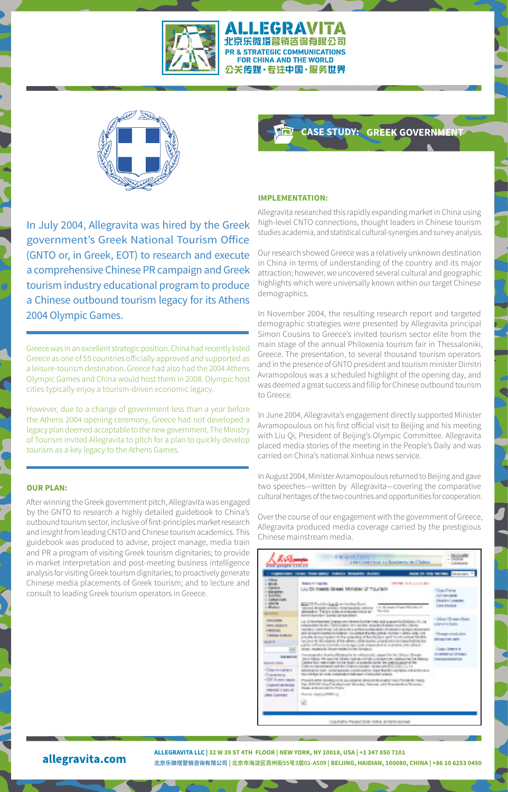

#### ALLEGRAVITA 北京乐微塔营销咨询有限公司 PR & STRATEGIC COMMUNICATIONS FOR CHINA AND THE WORLD 公关传媒·专注中国·服务世界



In July 2004, Allegravita was hired by the Greek government's Greek National Tourism Office (GNTO or, in Greek, EOT) to research and execute a comprehensive Chinese PR campaign and Greek tourism industry educational program to produce a Chinese outbound tourism legacy for its Athens 2004 Olympic Games.

Greece was in an excellent strategic position. China had recently listed Greece as one of 55 countries officially approved and supported as a leisure-tourism destination. Greece had also had the 2004 Athens Olympic Games and China would host them in 2008. Olympic host cities typically enjoy a tourism-driven economic legacy.

However, due to a change of government less than a year before the Athens 2004 opening ceremony, Greece had not developed a legacy plan deemed acceptable to the new government. The Ministry of Tourism invited Allegravita to pitch for a plan to quickly develop tourism as a key legacy to the Athens Games.

#### **OUR PLAN:**

After winning the Greek government pitch, Allegravita was engaged by the GNTO to research a highly detailed guidebook to China's outbound tourism sector, inclusive of first-principles market research and insight from leading CNTO and Chinese tourism academics. This guidebook was produced to advise, project manage, media train and PR a program of visiting Greek tourism dignitaries; to provide in-market interpretation and post-meeting business intelligence analysis for visiting Greek tourism dignitaries; to proactively generate Chinese media placements of Greek tourism; and to lecture and consult to leading Greek tourism operators in Greece.

## **CASE STUDY: GREEK GOVERNMENT**

## **IMPLEMENTATION:**

Allegravita researched this rapidly expanding market in China using high-level CNTO connections, thought leaders in Chinese tourism studies academia, and statistical cultural-synergies and survey analysis.

Our research showed Greece was a relatively unknown destination in China in terms of understanding of the country and its major attraction; however, we uncovered several cultural and geographic highlights which were universally known within our target Chinese demographics.

In November 2004, the resulting research report and targeted demographic strategies were presented by Allegravita principal Simon Cousins to Greece's invited tourism sector elite from the main stage of the annual Philoxenia tourism fair in Thessaloniki, Greece. The presentation, to several thousand tourism operators and in the presence of GNTO president and tourism minister Dimitri Avramopolous was a scheduled highlight of the opening day, and was deemed a great success and fillip for Chinese outbound tourism to Greece.

In June 2004, Allegravita's engagement directly supported Minister Avramopoulous on his first official visit to Beijing and his meeting with Liu Qi, President of Beijing's Olympic Committee. Allegravita placed media stories of the meeting in the People's Daily and was carried on China's national Xinhua news service.

In August 2004, Minister Avramopoulous returned to Beijing and gave two speeches—written by Allegravita—covering the comparative cultural heritages of the two countries and opportunities for cooperation.

Over the course of our engagement with the government of Greece, Allegravita produced media coverage carried by the prestigious Chinese mainstream media.

| <b>THE REPORT OF STATISTICS</b>                                                                                                                                                                                                                                                                               | 4 Telephone Printer<br>rest receives to bodisexular@him-                                                                                                                                                                                                                                                                                                                                                                                                                                                                                                                                                                                                                                                                                                                                                                                                                                                                                                                                                                                                                                                                                         | a barrier and a<br>or interesting<br>- Controller                                                                                                                                                                                                           |
|---------------------------------------------------------------------------------------------------------------------------------------------------------------------------------------------------------------------------------------------------------------------------------------------------------------|--------------------------------------------------------------------------------------------------------------------------------------------------------------------------------------------------------------------------------------------------------------------------------------------------------------------------------------------------------------------------------------------------------------------------------------------------------------------------------------------------------------------------------------------------------------------------------------------------------------------------------------------------------------------------------------------------------------------------------------------------------------------------------------------------------------------------------------------------------------------------------------------------------------------------------------------------------------------------------------------------------------------------------------------------------------------------------------------------------------------------------------------------|-------------------------------------------------------------------------------------------------------------------------------------------------------------------------------------------------------------------------------------------------------------|
|                                                                                                                                                                                                                                                                                                               | Indianaeus caren chairmador nations beautiful develop                                                                                                                                                                                                                                                                                                                                                                                                                                                                                                                                                                                                                                                                                                                                                                                                                                                                                                                                                                                                                                                                                            | <b>The company's</b><br><b>Barnet office them been many</b>                                                                                                                                                                                                 |
| to different<br><b>CONTRACTOR</b><br>in Distance<br><b>CERTIFICATE</b><br><b>Location</b><br><b>CONTRACTOR</b><br><b>C. Mary 19</b><br><b>College College</b><br><b>WOOD</b><br><b>Committee</b><br><b>John Artist T</b><br>presidents.<br><b>CLEMENT STORAGE</b><br><b>COMMERCE</b><br><b>Little and and</b> | <b>County of Concerning</b><br><b>PERMIT RESIDENTS</b><br>Louis City Historical Company, Schoolstein, CT, T.O. Capital<br><b>BOOTH Francisco Laudi recording for</b><br>1 to 10 years of them the company<br>or threater simular force reports<br>The Corp.<br>competent. The time sides an observations at<br><b>Hollandgrave.com</b> Edward programmer<br>1. At 100 million of the Common costs, Advance Society and the common Analysis and the Constitution of the<br>programme for the California and the spoke sensitive fundamental and continues.<br><b>Contract and contract and a</b><br><b>Contract Contract</b><br>1975 STEWART COMPANY CARD ENGINEERS CONTINUES TO COMPANY CONTINUES INTO A REPORT OF A REPORT OF A REPORT OF A STRONG COMPANY OF A REPORT OF A REPORT OF A REPORT OF A REPORT OF A REPORT OF A REPORT OF A REPORT OF A REPORT O<br>colonial distances and both a considerable of background made that a series for the<br>is on the final and after share of a space of profiles compared to<br>about experience throughout the state interest.<br>documentes buricalista plant collectado capalla de Nices Divoto | <b>Class Forms</b><br><b>PULLINE IN BEEN</b><br><b>PRINCIPAL PRODUCT</b><br><b>International Art</b><br>- Johns Chrysen Breez<br>related to factor<br>140 Service Avenue Andrew<br><b>EXHIBITION FROM</b><br><b>CARDS COMMITTEE</b><br><b>AND IN ACTIVE</b> |
| <b>Controller States</b><br>-Copyright patients<br>-Continental<br>-CFT dealers make<br>Channel and makes<br><b>DOMESTIC: N</b><br><b>Check Committee</b>                                                                                                                                                     | function members. Then considered the many constructions and are a construction considerations.<br>Control Room respectively without Newton and control in the control company of the<br>Colorado pro compañeido de Banca Educación de Manuel Mill, 1993, 1993, 199<br>AND RESIDE SHOW CONSTRUCTION CONSTRUCTION NAMED IN STRUCTURES AND REPORTS.<br>THE REPORT OF ANY COMMUNICATION IN CASH AND COMMUNICATIONS.<br>Charles and the Constitution and States and States and Assembly Constitution and Constitution<br>the MARIN Dea President Monday News and News Arthur Women.<br>Change - Art Entwick with Change<br><b><i>Austral August Avenue</i></b><br>V.                                                                                                                                                                                                                                                                                                                                                                                                                                                                                 |                                                                                                                                                                                                                                                             |
|                                                                                                                                                                                                                                                                                                               | Constraints Factori Entertaints arrest inspira-                                                                                                                                                                                                                                                                                                                                                                                                                                                                                                                                                                                                                                                                                                                                                                                                                                                                                                                                                                                                                                                                                                  |                                                                                                                                                                                                                                                             |

allegravita.com

**ALLEGRAVITA LLC | 32 W 39 ST 4TH FLOOR | NEW YORK, NY 10018, USA | +1 347 850 7101 北京乐微塔营销咨询有限公司 | 北京市海淀区苏州街55号3层01-A509 | BEIJING, HAIDIAN, 100080, CHINA | +86 10 6253 0450**